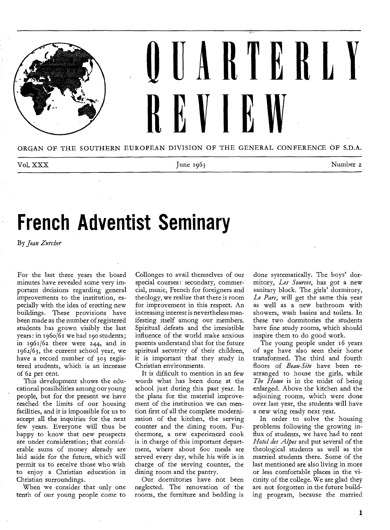

ORGAN OF THE SOUTHERN EUROPEAN DIVISION OF THE GENERAL CONFERENCE OF S.D.A.

| Vol. XXX |  | Number 2 |
|----------|--|----------|
|----------|--|----------|

# **French Adventist Seminary**

By *Jean Zurcher* 

For the last three years the board minutes have revealed some very important decisions regarding general improvements to the institution, especially with the idea of erecting new buildings. These provisions have been made as the number of registered students has grown visibly the last years: in 1960/61 we had 190 students; in 1961/62 there were 244, and in 1962/63, the current school year, we have a record number of 303 registered students, which is an increase of 6z per cent.

This development shows the educational possibilities among our young people, but for the present we have reached the limits of our housing facilities, and it is impossible for us to accept all the inquiries for the next few years. Everyone will thus be happy to know that new prospects are under consideration; that considerable sums of money already are laid aside for the future, which will permit us to receive those who wish to enjoy a Christian education in Christian surroundings.

When we consider that only one tenth of our young people come to

Collonges to avail themselves of our special courses: secondary, commercial, music, French for foreigners and theology, we realize that there is room for improvement in this respect. An increasing interest is nevertheless manifesting itself among our members. Spiritual defeats and the irresistible influence of the world make anxious parents understand that for the future spiritual secutrity of their children, it is important that they study in Christian environments.

It is difficult to mention in an few words what has been done at the school just during this past year. In the plans for the material improvement of the institution we can mention first of all the complete modernization of the kitchen, the serving counter and the dining room. Furthermore, a new experienced cook is in charge of this important department, where about 600 meals are served every day, while his wife is in charge of the serving counter, the dining room and the pantry.

Our dormitories have not been neglected. The renovation of the rooms, the furniture and bedding is

done systematically. The boys' dormitory, *Les Sources,* has got a new sanitary block. The girls' dormitory, *Le Parc,* will get the same this year as well as a new bathroom with showers, wash basins and toilets. In these two dormitories the students have fine study rooms, which should inspire them to do good work.

The young people under 16 years of age have also seen their home transformed. The third and fourth floors of *Beau-Site* have been rearranged to house the girls, while *The Home* is in the midst of being enlarged. Above the kitchen and the adjoining rooms, which were done over last year, the students will have a new wing ready next year.

In order to solve the housing problems following the growing influx of students, we have had to rent *Hotel des Alpes* and put several of the theological students as well as the married students there. Some of the last mentioned are also living in more or less comfortable places in the vicinity of the college. We are glad they are not forgotten in the future building program, because the married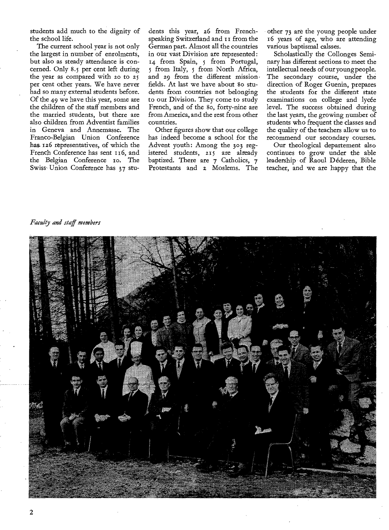students add much to the dignity of the school life.

The current school year is not only the largest in number of enrolments, but also as steady attendance is concerned. Only 8.5 per cent left during the year as compared with zo to 25 per cent other years. We have never had so many external students before. Of the 49 we have this year, some are the children of the staff members and the married students, but there are also children from Adventist families in Geneva and Annemasse. The Franco-Belgian Union Conference has 126 representatives, of which the French Conference has sent 116, and the Belgian Conference 10. The Swiss Union Conference has 37 students this year, z6 from Frenchspeaking Switzerland and II from the German part. Almost all the countries in our vast Division are represented: 14 from Spain, *5* from Portugal, *<sup>5</sup>*from Italy, 5 from North Africa, and 29 from the different mission fields. At last we have about So students from countries not belonging to our Division. They come to study French, and of the 8o, forty-nine are from America, and the rest from other countries.

Other figures show that our college has indeed become a school for the Advent youth: Among the 303 registered students, 215 are already baptized. There are 7 Catholics, 7 Protestants and z Moslems. The

other 73 are the young people under 16 years of age, who are attending various baptismal calsses.

Scholastically the Collonges Seminary has different sections to meet the intellectual needs of our young people. The secondary course, under the direction of Roger Guenin, prepares the students for the different state examinations on college and lycée level. The success obtained during the last years, the growing number of students who frequent the classes and the quality of the teachers allow us to recommend our secondary courses.

Our theological departement also continues to grow under the able leadership of Raoul Dederen, Bible teacher, and we are happy that the

### *Faculty and staff members*

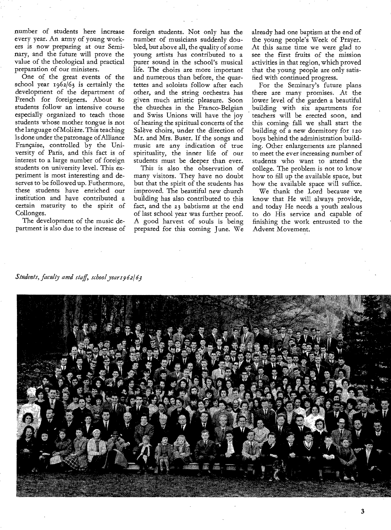number of students here increase every year. An army of young workers is now preparing at our Seminary, and the future will prove the value of the theological and practical preparation of our ministers.

One of the great events of the school year 1962/63 is certainly the development of the department of French for foreigners. About 8o students follow an intensive course especially organized to teach those students whose mother tongue is not the language of Moliere. This teaching is done under the patronage of Alliance Française, controlled by the University of Paris, and this fact is of interest to a large number of foreign students on university level. This experiment is most interesting and deserves to be followed up. Futhermore, these students have enriched our institution and have contributed a certain maturity to the spirit of Collonges.

The development of the music department is also due to the increase of foreign students. Not only has the number of musicians suddenly doubled, but above all, the quality of some young artists has contributed to a purer sound in the school's musical life. The choirs are more important and numerous than before, the quartettes and soloists follow after each other, and the string orchestra has given much artistic pleasure. Soon the churches in the Franco-Belgian and Swiss Unions will have the joy of hearing the spiritual concerts of the Salève choirs, under the direction of Mr. and Mrs. Buser. If the songs and music are any indication of true spirituality, the inner life of our students must be deeper than ever.

This is also the observation of many visitors. They have no doubt but that the spirit of the students has improved. The beautiful new church building has also contributed to this fact, and the 23 babtisms at the end of last school year was further proof. A good harvest of souls is being prepared for this coming June. We already had one baptism at the end.of the young people's Week of Prayer. At this same time we were glad to see the first fruits of the mission activities in that region, which proved that the young people are only satisfied with continued progress.

For the Seminary's future plans there are many promises. At the lower level of the garden a beautiful building with six apartments for teachers will be erected soon, and this coming fall we shall start the building of a new dormitory for Izo boys behind the administration building. Other enlargements are planned to meet the ever increasing number of students who want to attend the college. The problem is not to know how to fill up the available space, but how the available space will suffice.

We thank the Lord because we know that He will always provide, and today He needs a youth zealous to do His service and capable of finishing the work entrusted to the Advent Movement.

*Students, faculty and staff, schoolyear 962163* 

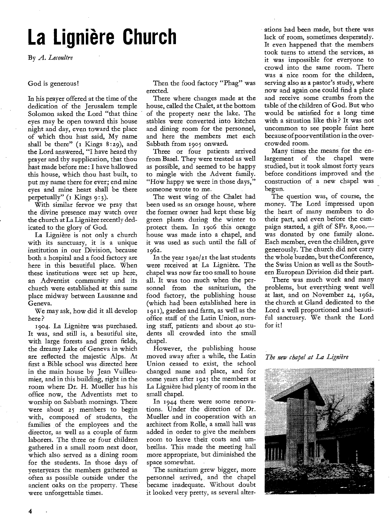# **La Ligniere Church**

By *A. Lecoultre* 

#### God is generous!

In his prayer offered at the time of the dedication of the Jerusalem temple Solomon asked the Lord "that thine eyes may be open toward this house night and day, even toward the place of which thou hast said, My name shall be there" (1 Kings 8:29), and the Lord answered, "I have heard thy prayer and thy supplication, that thou bast made before me: I have hallowed this house, which thou hast built, to put my name there for ever; end mine eyes and mine heart shall be there perpetually" (1 Kings 9:3).

With similar fervor we pray that the divine presence may watch over the church at La Lignière recently dedicated to the glory of God.

La Ligniere is not only a church with its sanctuary, it is a unique institution in our Division, because both a hospital and a food factory are here in this beautiful place. When these institutions were set up here, an Adventist community and its church were established at this same place midway between Lausanne and Geneva.

We may ask, how did it all develop here ?

1904. La Ligniere was purchased. It was, and still is, a beautiful site, with large forests and green fields, the dreamy Lake of Geneva in which are reflected the majestic Alps. At first a Bible school was directed here in the main house by Jean Vuilleumier, and in this building, right in the room where Dr. H. Mueller has his office now, the Adventists met to worship on Sabbath mornings. There were about 25 members to begin with, composed of students, the families of the employees and the director, as well as a couple of farm laborers. The three or four children gathered in a small room next door, which also served as a dining room for the students. In those days of yesteryears the members gathered as often as possible outside under the ancient oaks on the property. These were unforgettable times.

Then the food factory "Phag" was erected.

There where changes made at the house, called the Chalet, at the bottom of the property near the lake. The stables were converted into kitchen and dining room for the personnel, and here the members met each Sabbath from 1905 onward.

Three or four patients arrived from Basel. They were treated as well as possible, and seemed to be happy to mingle with the Advent family. "How happy we were in those days," someone wrote to me.

The west wing of the Chalet had been used as an orange house, where the former owner had kept these big green plants during the winter to protect them. In 1906 this orange house was made into a chapel, and it was used as such until the fall of 1962.

In the year 1920/21 the last students were received at La Lignière. The chapel was now far too small to house all. It was too much when the personnel from the sanitarium, the food factory, the publishing house (which had been established here in 1911), garden and farm, as well as the office staff of the Latin Union, nursing staff, patients and about 4o students all crowded into the small chapel.

However, the publishing house moved away after a while, the Latin Union ceased to exist, the school changed name and place, and for some years after 1925 the members at La Ligniere had plenty of room in the small chapel.

In 1944 there were some renovations. Under the direction of Dr. Mueller and in cooperation with an architect from Rolle, a small hall was added in order to give the members room to leave their coats and umbrellas. This made the meeting hall more appropriate, but diminished the space somewhat.

The sanitarium grew bigger, more personnel arrived, and the chapel became inadequate. Without doubt it looked very pretty, as several alterations had been made, but there was lack of room, sometimes desperately. It even happened that the members took turns to attend the services, as it was impossible for everyone to crowd into the same room. There was a nice room for the children, serving also as a pastor's study, where now and again one could find a place and receive some crumbs from the table of the children of God. But who would be satisfied for a long time with a situation like this ? It was not uncommon to see people faint here because of poor ventilation in the overcrowded room.

Many times the means for the enlargement of the chapel were studied, but it took almost forty years before conditions improved and the construction of a new chapel was begun.

The question was, of course, the money. The Lord impressed upon the heart of many members to do their part, and even before the campaign started, a gift of SFr. 8,000. was donated by one family alone. Each member, even the children, gave generously. The church did not carry the whole burden, but the Conference, the Swiss Union as well as the Southern European Division did their part.

There was much work and many problems, but everything went well at last, and on November 24, 1962, the church at Gland dedicated to the Lord a well proportioned and beautiful sanctuary. We thank the Lord for it!

*The new chapel at La Ligniere* 

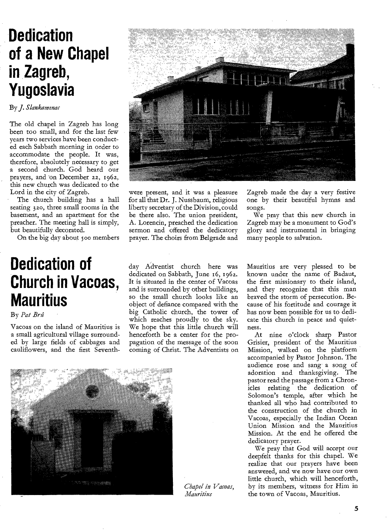## **Dedication of a New Chapel in Zagreb, Yugoslavia**

By *J. Slankamenac* 

The old chapel in Zagreb has long been too small, and for the last few years two services have been conducted each Sabbath morning in order to accommodate the people. It was, therefore, absolutely necessary to get a second church. God heard our prayers, and on December 22, 196z, this new church was dedicated to the Lord in the city of Zagreb.

The church building has a hall seating 3 20, three small rooms in the basement, and an apartment for the preacher. The meeting hall is simply, but beautifully decorated.

On the big day about 500 members

## **Dedication of Church in Vacoas, Mauritius**

By *Pat Brit* 

Vacoas on the island of Mauritius is a small agricultural village surrounded by large fields of cabbages and cauliflowers, and the first Seventh-



were present, and it was a pleasure for all that Dr. J. Nussbaum, religious liberty secretary of the Division, could be there also. The union president, A. Lorencin, preached the dedication sermon and offered the dedicatory prayer. The choirs from Belgrade and

Zagreb made the day a very festive one by their beautiful hymns and songs.

We pray that this new church in Zagreb may be a monument to God's glory and instrumental in bringing many people to salvation.

day Adventist church here was dedicated on Sabbath, June 16, 196z. It is situated in the center of Vacoas and is surrounded by other buildings, so the small church looks like an object of defiance compared with the big Catholic church, the tower of which reaches proudly to the sky. We hope that this little church will henceforth be a center for the propagation of the message of the soon coming of Christ. The Adventists on Mauritius are very pleased to be known under the name of Badaut, the first missionary to their island, and they recognize that this man braved the storm of persecution. Because of his fortitude and courage it has now been possible for us to dedicate this church in peace and quietness.

At nine o'clock sharp Pastor Grisier, president of the Mauritius Mission, walked on the platform accompanied by Pastor Johnson. The audience rose and sang a song of adoration and thanksgiving. The pastor read the passage from z Chronicles relating the dedication of Solomon's temple, after which he thanked all who had contributed to the construction of the church in Vacoas, especially the Indian Ocean Union Mission and the Mauritius Mission. At the end he offered the dedicatory prayer.

We pray that God will accept our deepfelt thanks for this chapel. We realize that our prayers have been answered, and we now have our own little church, which will henceforth, by its members, witness for Him in the town of Vacoas, Mauritius.



*Chapel in Vacoas, Mauritius*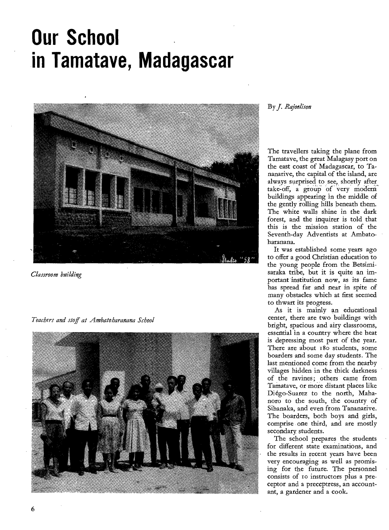## **Our School in Tamatave, Madagascar**



*Classroom building* 

*Teachers and stoff at Ambatobaranana School* 



### By J. *Rajoelison*

The travellers taking the plane from Tamatave, the great Malagasy port on the east coast of Madagascar, to Tananarive, the capital of the island, are always surprised to see, shortly after, take-off, a group of very modern buildings appearing in the middle, of the gently rolling hills beneath them. The white walls shine in the dark forest, and the inquirer is told that this is the mission station of the Seventh-day Adventists at Ambatoharanana.

It was established some years ago to offer a good Christian education to the young people from the Betsimisaraka tribe, but it is quite an important 'institution now, as its fame has spread far and near in spite of many obstacles which at first seemed to thwart its progress.

As it is mainly an educational center, there are two buildings with bright, spacious and airy classrooms, essential in a country where the heat is depressing most part of the year. There are about 18o students, some boarders and some day students. The last mentioned come from the nearby villages hidden in the thick darkness of the ravines; others came from Tamatave, or more distant places like Diégo-Suarez to the north, Mahanoro to the south, the country of Sihanaka, and even from Tananarive. The boarders, both boys and girls, comprise one third, and are mostly secondary students.

The school prepares the students for different state examinations, and the results in recent years have been very encouraging as well as promising for the future. The personnel consists of to instructors plus a preceptor and a preceptress, an accountant, a gardener and a cook.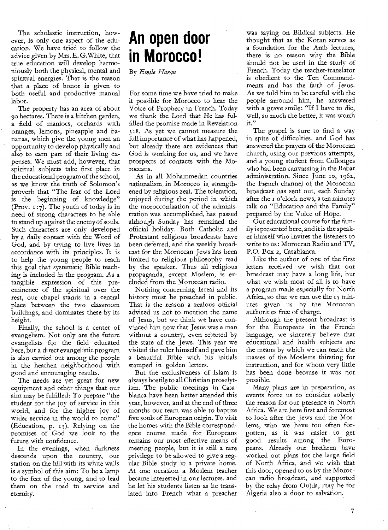The scholastic instruction, however, is only one aspect of the education. We have tried to follow the advice given by Mrs. E. G.White, that true education will develop harmoniously both the physical, mental and spiritual energies. That is the reason that a place of honor is given to both useful and productive manual labor.

The property has an area of about 90 hectares. There is a kitchen garden, a field of maniocs, orchards with oranges, lemons, pineapple and bananas, which give the young men an opportunity to develop physically and also to earn part of their living expenses. We must add, however, that spiritual subjects take first place in the educational program of the school, as we know the truth of Solomon's proverb that "The fear of the Lord is the beginning of knowledge" (Prov.  $1:7$ ). The youth of today is in need of strong characters to be able to stand up against the enemy of souls. Such characters are only developed by a daily contact with the Word of God, and by trying to live lives in accordance with its principles. It is to help the young people to reach this goal that systematic Bible teaching is included in the program. As a tangible expression of this preeminence of the spiritual over the rest, our chapel stands in a central place between the two classroom buildings, and dominates these by its height.

Finally, the school is a center of evangelism. Not only are the future evangelists for the field educated here, but a direct evangelistic program *is* also carried out among the people in the heathen neighborhood with good and encouraging results.

The needs are yet great for new equipment and other things that our aim may be fulfilled: To prepare "the student for the joy of service in this world, and for the higher joy of wider service in the world to come" (Education, p. 13). Relying on the promises of God we look to the future with confidence.

In the evenings, when darkness descends upon the country, our station on the hill with its white walls is a symbol of this aim: To be a lamp to the feet of the young, and to lead them on the road to service and eternity.

### **An open door in Morocco!**

By *Emile Harem* 

For some time we have tried to make it possible for Morocco to hear the Voice of Prophecy in French. Today we thank the Lord that He has fulfilled the promise made in Revelation 3:8. As yet we cannot measure the full importance of what has happened, but already there are evidences that God is working for us, and we have prospects of contacts with the Moroccans.

As in all Mohammedan countries nationalism. in Moroceo is strengthened by religious zeal. The toleration, enjoyed during the period in which the morocconization of the administration was accomplished, has passed although Sunday has remained the official holiday. Both Catholic and Protestant religious broadcasts have been deferred, and the weekly broadcast for the Moroccan Jews has been limited to religious philosophy read by the speaker. Thus all religious propaganda, except Moslem, is excluded from the Moroccan radio.

Nothing concerning Isreal and its history must be preached in public. That is the reason a zealous official advised us not to mention the name of Jesus, but we think we have convinced him now that Jesus was a man without a country, even rejected by the state of the Jews. This year we visited the ruler himself and gave him a beautiful Bible with his initials stamped in golden letters.

But the exclusiveness of Islam is always hostile to all Christian proselytism. The public meetings in Casablanca have been better attended this year, however, and at the end of three months our team was able to baptize five souls of European origin. To visit the homes with the Bible correspondence course made for Europeans remains our most effective means of meeting people, but it is still a rare privilege to be allowed to give a regular Bible study in a private home. At one occasion a Moslem teacher became interested in our lectures, and he let his students listen as he translated into French what a preacher

was saying on Biblical subjects. He thought that as the Koran serves as a foundation for the Arab lectures, there is no reason why the Bible should not be used in the study of French. Today the teacher-translator is obedient to the Ten Commandments and has the faith of Jesus. As we told him to be careful with the people arround him, he answered with a grave smile: "If I have to die, well, so much the better, it was worth it."

The gospel is sure to find a way in spite of difficulties, and God has answered the prayers of the Moroccan church, using our previous attempts, and a young student from Collonges who had been canvassing in the Rabat administration. Since June 10, 1962, the French channel of the Moroccan broadcast has sent out, each Sunday after the i o'clock news, a ten minutes talk on "Education and the Family" prepared by the Voice of Hope.

Our educational course for the family is presented here, and it is the speaker himself who invites the listeners to write to us: Moroccan Radio and TV, P.O. Box 2, Casablanca.

Like the author of one of the first letters received we wish that our broadcast may have a long life, but what we wish most of all is to have a program made especially for North Africa, so that we can use the 15 minutes given us by the Moroccan authorities free of charge.

Although the present broadcast is for the Europeans in the French language, we sincerely believe that educational and health subjects are the means by which we can reach the masses of the Moslems thirsting for instruction, and for whom very little has been done because it was not possible.

Many plans are in preparation, as events force us to consider soberly the reason for our presence in North Africa. We are here first and foremost to look after the Jews and the Moslems, who we have too often forgotten, as it was easier to get good results among the Europeans. Already our brethren have worked out plans for the large field of North Africa, and we wish that this door, opened to us by the Moroccan radio broadcast, and supported by the relay from Oujda, may be for Algeria also a door to salvation.

7